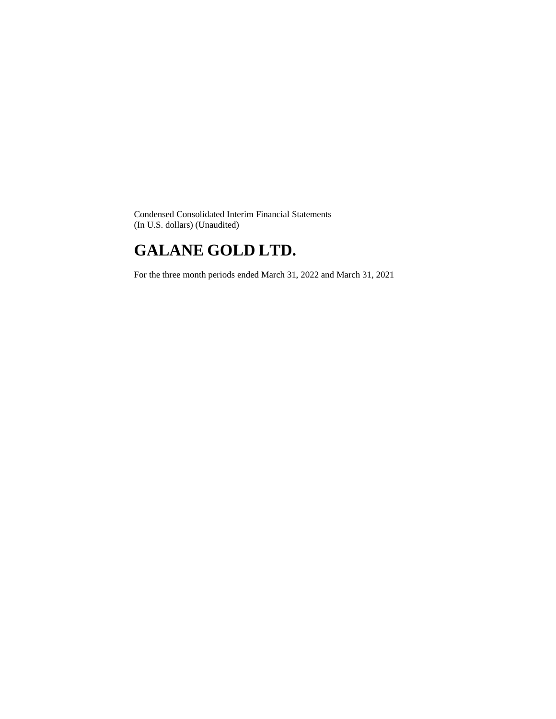Condensed Consolidated Interim Financial Statements (In U.S. dollars) (Unaudited)

# **GALANE GOLD LTD.**

For the three month periods ended March 31, 2022 and March 31, 2021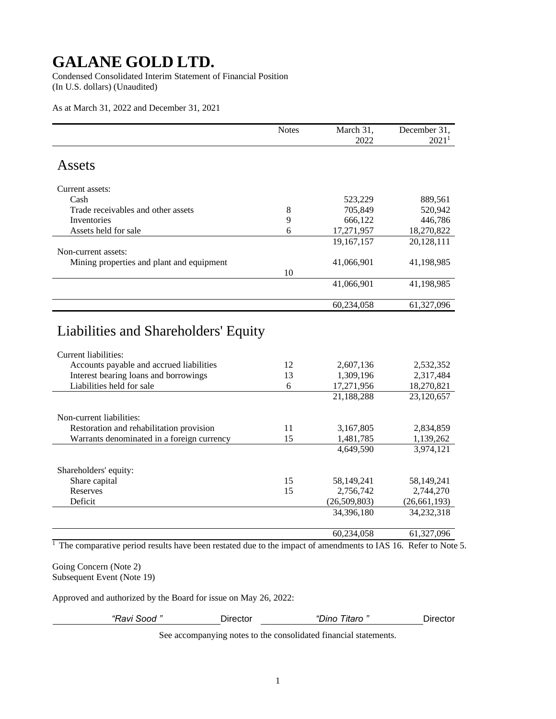Condensed Consolidated Interim Statement of Financial Position (In U.S. dollars) (Unaudited)

As at March 31, 2022 and December 31, 2021

|                                                                                                          | <b>Notes</b> | March 31,      | December 31,      |
|----------------------------------------------------------------------------------------------------------|--------------|----------------|-------------------|
|                                                                                                          |              | 2022           | 2021 <sup>1</sup> |
| Assets                                                                                                   |              |                |                   |
| Current assets:                                                                                          |              |                |                   |
| Cash                                                                                                     |              | 523,229        | 889,561           |
| Trade receivables and other assets                                                                       | $8\,$        | 705,849        | 520,942           |
| Inventories                                                                                              | 9            | 666,122        | 446,786           |
| Assets held for sale                                                                                     | 6            | 17,271,957     | 18,270,822        |
|                                                                                                          |              | 19,167,157     | 20,128,111        |
| Non-current assets:                                                                                      |              |                |                   |
| Mining properties and plant and equipment                                                                |              | 41,066,901     | 41,198,985        |
|                                                                                                          | 10           |                |                   |
|                                                                                                          |              | 41,066,901     | 41,198,985        |
|                                                                                                          |              | 60,234,058     | 61,327,096        |
| Liabilities and Shareholders' Equity<br>Current liabilities:<br>Accounts payable and accrued liabilities | 12           | 2,607,136      | 2,532,352         |
| Interest bearing loans and borrowings                                                                    | 13           | 1,309,196      | 2,317,484         |
| Liabilities held for sale                                                                                | 6            | 17,271,956     | 18,270,821        |
|                                                                                                          |              | 21,188,288     | 23,120,657        |
| Non-current liabilities:                                                                                 |              |                |                   |
| Restoration and rehabilitation provision                                                                 | 11           | 3,167,805      | 2,834,859         |
| Warrants denominated in a foreign currency                                                               | 15           | 1,481,785      | 1,139,262         |
|                                                                                                          |              | 4,649,590      | 3,974,121         |
| Shareholders' equity:                                                                                    |              |                |                   |
| Share capital                                                                                            | 15           | 58,149,241     | 58,149,241        |
| Reserves                                                                                                 | 15           | 2,756,742      | 2,744,270         |
| Deficit                                                                                                  |              | (26, 509, 803) | (26, 661, 193)    |
|                                                                                                          |              | 34,396,180     | 34,232,318        |
|                                                                                                          |              | 60,234,058     | 61,327,096        |

<sup>1</sup> The comparative period results have been restated due to the impact of amendments to IAS 16. Refer to Note 5.

Going Concern (Note 2) Subsequent Event (Note 19)

Approved and authorized by the Board for issue on May 26, 2022:

*"Ravi Sood "* Director *"Dino Titaro "* Director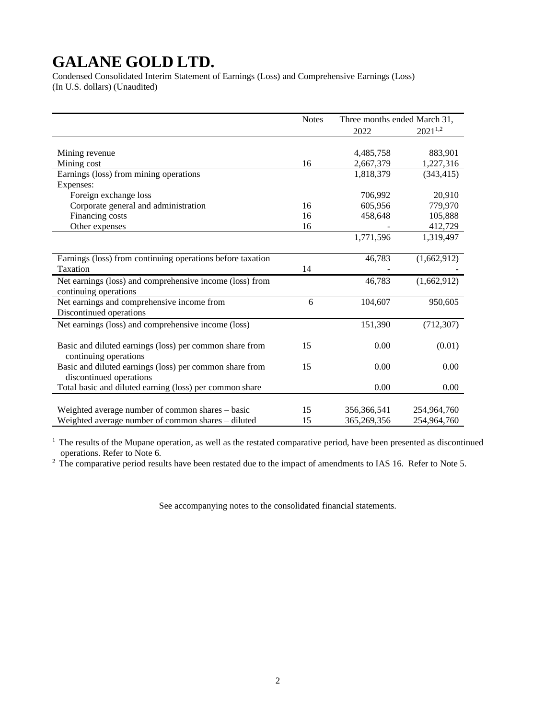Condensed Consolidated Interim Statement of Earnings (Loss) and Comprehensive Earnings (Loss) (In U.S. dollars) (Unaudited)

|                                                            | <b>Notes</b> | Three months ended March 31, |              |
|------------------------------------------------------------|--------------|------------------------------|--------------|
|                                                            |              | 2022                         | $2021^{1,2}$ |
|                                                            |              |                              |              |
| Mining revenue                                             |              | 4,485,758                    | 883,901      |
| Mining cost                                                | 16           | 2,667,379                    | 1,227,316    |
| Earnings (loss) from mining operations                     |              | 1,818,379                    | (343, 415)   |
| Expenses:                                                  |              |                              |              |
| Foreign exchange loss                                      |              | 706,992                      | 20,910       |
| Corporate general and administration                       | 16           | 605,956                      | 779,970      |
| Financing costs                                            | 16           | 458,648                      | 105,888      |
| Other expenses                                             | 16           |                              | 412,729      |
|                                                            |              | 1,771,596                    | 1,319,497    |
|                                                            |              |                              |              |
| Earnings (loss) from continuing operations before taxation |              | 46,783                       | (1,662,912)  |
| Taxation                                                   | 14           |                              |              |
| Net earnings (loss) and comprehensive income (loss) from   |              | 46,783                       | (1,662,912)  |
| continuing operations                                      |              |                              |              |
| Net earnings and comprehensive income from                 | 6            | 104,607                      | 950,605      |
| Discontinued operations                                    |              |                              |              |
| Net earnings (loss) and comprehensive income (loss)        |              | 151,390                      | (712, 307)   |
|                                                            |              |                              |              |
| Basic and diluted earnings (loss) per common share from    | 15           | 0.00                         | (0.01)       |
| continuing operations                                      |              |                              |              |
| Basic and diluted earnings (loss) per common share from    | 15           | 0.00                         | 0.00         |
| discontinued operations                                    |              |                              |              |
| Total basic and diluted earning (loss) per common share    |              | 0.00                         | 0.00         |
|                                                            |              |                              |              |
| Weighted average number of common shares – basic           | 15           | 356,366,541                  | 254,964,760  |
| Weighted average number of common shares – diluted         | 15           | 365,269,356                  | 254,964,760  |

<sup>1</sup> The results of the Mupane operation, as well as the restated comparative period, have been presented as discontinued operations. Refer to Note 6.

 $2$  The comparative period results have been restated due to the impact of amendments to IAS 16. Refer to Note 5.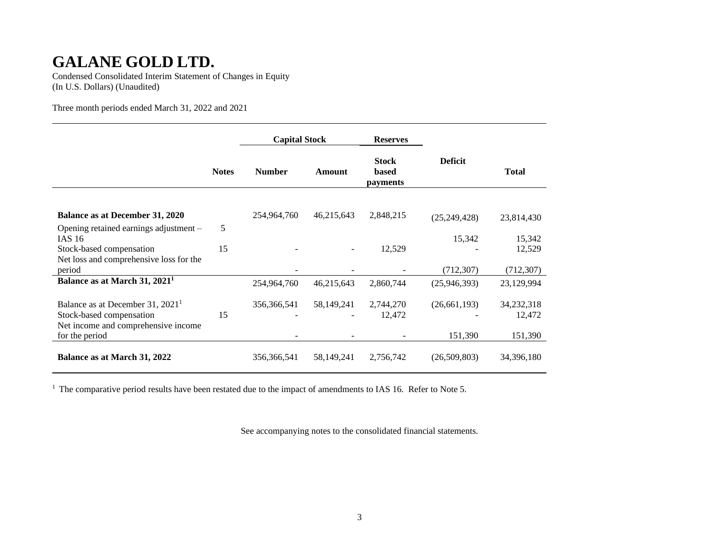Condensed Consolidated Interim Statement of Changes in Equity (In U.S. Dollars) (Unaudited)

Three month periods ended March 31, 2022 and 2021

|                                                                                                                 |              | <b>Capital Stock</b> |                          | <b>Reserves</b>                   |                            |                          |
|-----------------------------------------------------------------------------------------------------------------|--------------|----------------------|--------------------------|-----------------------------------|----------------------------|--------------------------|
|                                                                                                                 | <b>Notes</b> | <b>Number</b>        | Amount                   | <b>Stock</b><br>based<br>payments | <b>Deficit</b>             | <b>Total</b>             |
| Balance as at December 31, 2020                                                                                 |              | 254,964,760          | 46,215,643               | 2,848,215                         | (25, 249, 428)             | 23,814,430               |
| Opening retained earnings adjustment -<br>IAS $16$                                                              | 5            |                      |                          |                                   | 15,342                     | 15,342                   |
| Stock-based compensation<br>Net loss and comprehensive loss for the                                             | 15           |                      | $\overline{\phantom{a}}$ | 12,529                            |                            | 12,529                   |
| period<br>Balance as at March 31, 2021 <sup>1</sup>                                                             |              | 254,964,760          | 46,215,643               | 2,860,744                         | (712, 307)<br>(25,946,393) | (712, 307)<br>23,129,994 |
| Balance as at December 31, 2021 <sup>1</sup><br>Stock-based compensation<br>Net income and comprehensive income | 15           | 356,366,541          | 58, 149, 241             | 2,744,270<br>12,472               | (26,661,193)               | 34,232,318<br>12,472     |
| for the period                                                                                                  |              |                      |                          |                                   | 151,390                    | 151,390                  |
| Balance as at March 31, 2022                                                                                    |              | 356,366,541          | 58,149,241               | 2,756,742                         | (26,509,803)               | 34,396,180               |

<sup>1</sup> The comparative period results have been restated due to the impact of amendments to IAS 16. Refer to Note 5.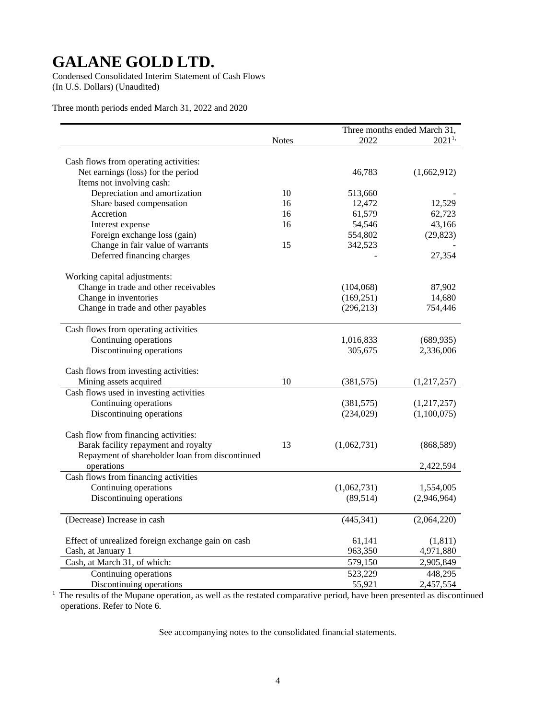Condensed Consolidated Interim Statement of Cash Flows (In U.S. Dollars) (Unaudited)

Three month periods ended March 31, 2022 and 2020

|                                                    |              |             | Three months ended March 31, |
|----------------------------------------------------|--------------|-------------|------------------------------|
|                                                    | <b>Notes</b> | 2022        | $2021^{1}$                   |
|                                                    |              |             |                              |
| Cash flows from operating activities:              |              |             |                              |
| Net earnings (loss) for the period                 |              | 46,783      | (1,662,912)                  |
| Items not involving cash:                          |              |             |                              |
| Depreciation and amortization                      | 10           | 513,660     |                              |
| Share based compensation                           | 16           | 12,472      | 12,529                       |
| Accretion                                          | 16           | 61,579      | 62,723                       |
| Interest expense                                   | 16           | 54,546      | 43,166                       |
| Foreign exchange loss (gain)                       |              | 554,802     | (29, 823)                    |
| Change in fair value of warrants                   | 15           | 342,523     |                              |
| Deferred financing charges                         |              |             | 27,354                       |
| Working capital adjustments:                       |              |             |                              |
| Change in trade and other receivables              |              | (104,068)   | 87,902                       |
| Change in inventories                              |              | (169, 251)  | 14,680                       |
| Change in trade and other payables                 |              | (296, 213)  | 754,446                      |
|                                                    |              |             |                              |
| Cash flows from operating activities               |              |             |                              |
| Continuing operations                              |              | 1,016,833   | (689, 935)                   |
| Discontinuing operations                           |              | 305,675     | 2,336,006                    |
| Cash flows from investing activities:              |              |             |                              |
| Mining assets acquired                             | 10           | (381, 575)  | (1,217,257)                  |
| Cash flows used in investing activities            |              |             |                              |
| Continuing operations                              |              | (381, 575)  | (1,217,257)                  |
| Discontinuing operations                           |              | (234, 029)  | (1,100,075)                  |
|                                                    |              |             |                              |
| Cash flow from financing activities:               |              |             |                              |
| Barak facility repayment and royalty               | 13           | (1,062,731) | (868, 589)                   |
| Repayment of shareholder loan from discontinued    |              |             |                              |
| operations                                         |              |             | 2,422,594                    |
| Cash flows from financing activities               |              |             |                              |
| Continuing operations                              |              | (1,062,731) | 1,554,005                    |
| Discontinuing operations                           |              | (89, 514)   | (2,946,964)                  |
| (Decrease) Increase in cash                        |              | (445, 341)  | (2,064,220)                  |
|                                                    |              |             |                              |
| Effect of unrealized foreign exchange gain on cash |              | 61,141      | (1, 811)                     |
| Cash, at January 1                                 |              | 963,350     | 4,971,880                    |
| Cash, at March 31, of which:                       |              | 579,150     | 2,905,849                    |
| Continuing operations                              |              | 523,229     | 448,295                      |
| Discontinuing operations                           |              | 55,921      | 2,457,554                    |

 $<sup>1</sup>$  The results of the Mupane operation, as well as the restated comparative period, have been presented as discontinued</sup> operations. Refer to Note 6.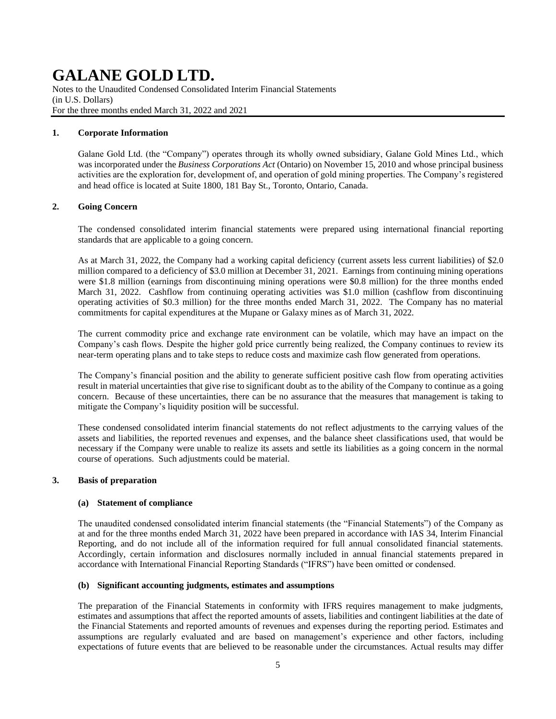Notes to the Unaudited Condensed Consolidated Interim Financial Statements (in U.S. Dollars) For the three months ended March 31, 2022 and 2021

#### **1. Corporate Information**

Galane Gold Ltd. (the "Company") operates through its wholly owned subsidiary, Galane Gold Mines Ltd., which was incorporated under the *Business Corporations Act* (Ontario) on November 15, 2010 and whose principal business activities are the exploration for, development of, and operation of gold mining properties. The Company's registered and head office is located at Suite 1800, 181 Bay St., Toronto, Ontario, Canada.

#### **2. Going Concern**

The condensed consolidated interim financial statements were prepared using international financial reporting standards that are applicable to a going concern.

As at March 31, 2022, the Company had a working capital deficiency (current assets less current liabilities) of \$2.0 million compared to a deficiency of \$3.0 million at December 31, 2021. Earnings from continuing mining operations were \$1.8 million (earnings from discontinuing mining operations were \$0.8 million) for the three months ended March 31, 2022. Cashflow from continuing operating activities was \$1.0 million (cashflow from discontinuing operating activities of \$0.3 million) for the three months ended March 31, 2022. The Company has no material commitments for capital expenditures at the Mupane or Galaxy mines as of March 31, 2022.

The current commodity price and exchange rate environment can be volatile, which may have an impact on the Company's cash flows. Despite the higher gold price currently being realized, the Company continues to review its near-term operating plans and to take steps to reduce costs and maximize cash flow generated from operations.

The Company's financial position and the ability to generate sufficient positive cash flow from operating activities result in material uncertainties that give rise to significant doubt as to the ability of the Company to continue as a going concern. Because of these uncertainties, there can be no assurance that the measures that management is taking to mitigate the Company's liquidity position will be successful.

These condensed consolidated interim financial statements do not reflect adjustments to the carrying values of the assets and liabilities, the reported revenues and expenses, and the balance sheet classifications used, that would be necessary if the Company were unable to realize its assets and settle its liabilities as a going concern in the normal course of operations. Such adjustments could be material.

### **3. Basis of preparation**

#### **(a) Statement of compliance**

The unaudited condensed consolidated interim financial statements (the "Financial Statements") of the Company as at and for the three months ended March 31, 2022 have been prepared in accordance with IAS 34, Interim Financial Reporting, and do not include all of the information required for full annual consolidated financial statements. Accordingly, certain information and disclosures normally included in annual financial statements prepared in accordance with International Financial Reporting Standards ("IFRS") have been omitted or condensed.

#### **(b) Significant accounting judgments, estimates and assumptions**

The preparation of the Financial Statements in conformity with IFRS requires management to make judgments, estimates and assumptions that affect the reported amounts of assets, liabilities and contingent liabilities at the date of the Financial Statements and reported amounts of revenues and expenses during the reporting period. Estimates and assumptions are regularly evaluated and are based on management's experience and other factors, including expectations of future events that are believed to be reasonable under the circumstances. Actual results may differ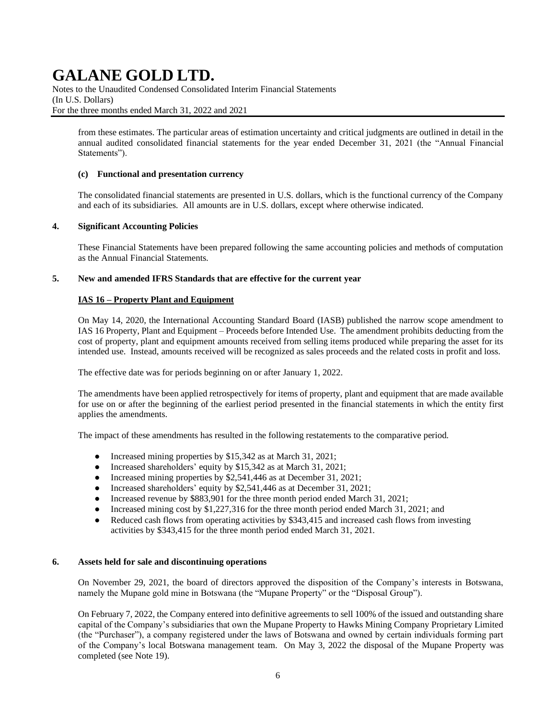Notes to the Unaudited Condensed Consolidated Interim Financial Statements (In U.S. Dollars) For the three months ended March 31, 2022 and 2021

from these estimates. The particular areas of estimation uncertainty and critical judgments are outlined in detail in the annual audited consolidated financial statements for the year ended December 31, 2021 (the "Annual Financial Statements").

### **(c) Functional and presentation currency**

The consolidated financial statements are presented in U.S. dollars, which is the functional currency of the Company and each of its subsidiaries. All amounts are in U.S. dollars, except where otherwise indicated.

#### **4. Significant Accounting Policies**

These Financial Statements have been prepared following the same accounting policies and methods of computation as the Annual Financial Statements.

#### **5. New and amended IFRS Standards that are effective for the current year**

### **IAS 16 – Property Plant and Equipment**

On May 14, 2020, the International Accounting Standard Board (IASB) published the narrow scope amendment to IAS 16 Property, Plant and Equipment – Proceeds before Intended Use. The amendment prohibits deducting from the cost of property, plant and equipment amounts received from selling items produced while preparing the asset for its intended use. Instead, amounts received will be recognized as sales proceeds and the related costs in profit and loss.

The effective date was for periods beginning on or after January 1, 2022.

The amendments have been applied retrospectively for items of property, plant and equipment that are made available for use on or after the beginning of the earliest period presented in the financial statements in which the entity first applies the amendments.

The impact of these amendments has resulted in the following restatements to the comparative period.

- Increased mining properties by \$15,342 as at March 31, 2021;
- Increased shareholders' equity by \$15,342 as at March 31, 2021;
- Increased mining properties by \$2,541,446 as at December 31, 2021;
- Increased shareholders' equity by \$2,541,446 as at December 31, 2021;
- Increased revenue by \$883,901 for the three month period ended March 31, 2021;
- Increased mining cost by \$1,227,316 for the three month period ended March 31, 2021; and
- Reduced cash flows from operating activities by \$343,415 and increased cash flows from investing activities by \$343,415 for the three month period ended March 31, 2021.

#### **6. Assets held for sale and discontinuing operations**

On November 29, 2021, the board of directors approved the disposition of the Company's interests in Botswana, namely the Mupane gold mine in Botswana (the "Mupane Property" or the "Disposal Group").

On February 7, 2022, the Company entered into definitive agreements to sell 100% of the issued and outstanding share capital of the Company's subsidiaries that own the Mupane Property to Hawks Mining Company Proprietary Limited (the "Purchaser"), a company registered under the laws of Botswana and owned by certain individuals forming part of the Company's local Botswana management team. On May 3, 2022 the disposal of the Mupane Property was completed (see Note 19).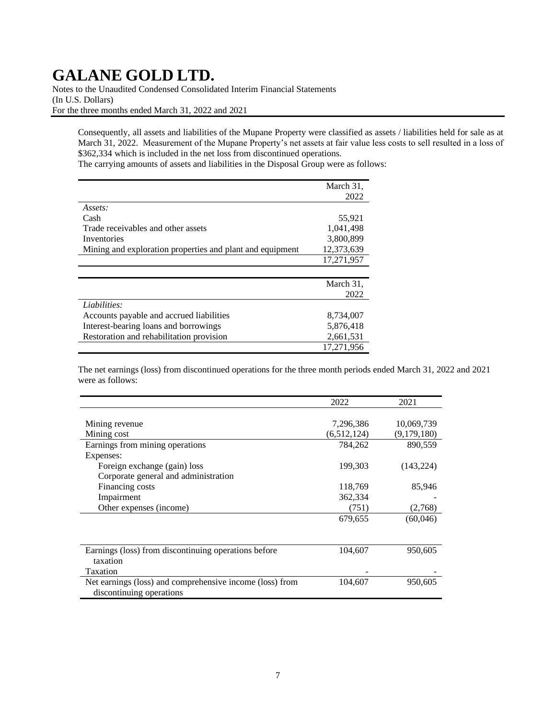Notes to the Unaudited Condensed Consolidated Interim Financial Statements (In U.S. Dollars) For the three months ended March 31, 2022 and 2021

Consequently, all assets and liabilities of the Mupane Property were classified as assets / liabilities held for sale as at March 31, 2022. Measurement of the Mupane Property's net assets at fair value less costs to sell resulted in a loss of \$362,334 which is included in the net loss from discontinued operations.

The carrying amounts of assets and liabilities in the Disposal Group were as follows:

|                                                           | March 31,  |
|-----------------------------------------------------------|------------|
|                                                           | 2022       |
| Assets:                                                   |            |
| Cash                                                      | 55,921     |
| Trade receivables and other assets                        | 1.041.498  |
| Inventories                                               | 3,800,899  |
| Mining and exploration properties and plant and equipment | 12,373,639 |
|                                                           | 17,271,957 |
|                                                           |            |
|                                                           | March 31,  |
|                                                           | 2022       |
| Liabilities:                                              |            |
| Accounts payable and accrued liabilities                  | 8,734,007  |
| Interest-bearing loans and borrowings                     | 5,876,418  |
| Restoration and rehabilitation provision                  | 2,661,531  |
|                                                           | 17,271,956 |

The net earnings (loss) from discontinued operations for the three month periods ended March 31, 2022 and 2021 were as follows:

|                                                          | 2022        | 2021        |
|----------------------------------------------------------|-------------|-------------|
|                                                          |             |             |
| Mining revenue                                           | 7,296,386   | 10,069,739  |
| Mining cost                                              | (6,512,124) | (9,179,180) |
| Earnings from mining operations                          | 784,262     | 890,559     |
| Expenses:                                                |             |             |
| Foreign exchange (gain) loss                             | 199,303     | (143, 224)  |
| Corporate general and administration                     |             |             |
| Financing costs                                          | 118,769     | 85,946      |
| Impairment                                               | 362,334     |             |
| Other expenses (income)                                  | (751)       | (2,768)     |
|                                                          | 679,655     | (60,046)    |
|                                                          |             |             |
|                                                          |             |             |
| Earnings (loss) from discontinuing operations before     | 104,607     | 950,605     |
| taxation                                                 |             |             |
| Taxation                                                 |             |             |
| Net earnings (loss) and comprehensive income (loss) from | 104,607     | 950,605     |
| discontinuing operations                                 |             |             |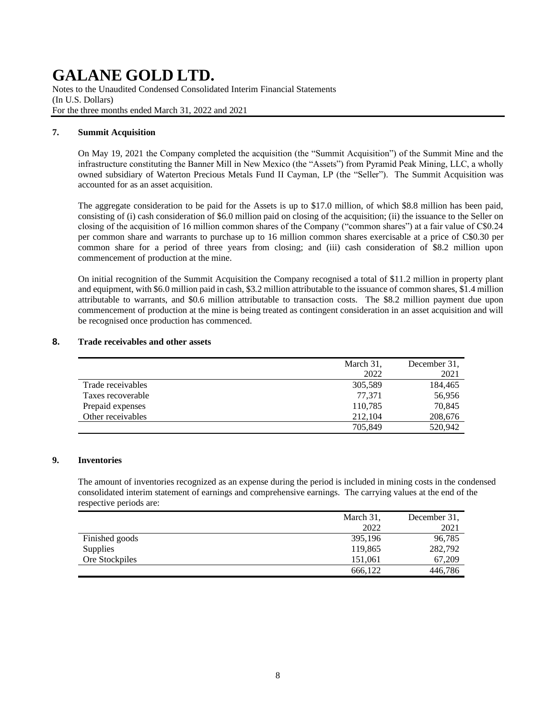Notes to the Unaudited Condensed Consolidated Interim Financial Statements (In U.S. Dollars) For the three months ended March 31, 2022 and 2021

## **7. Summit Acquisition**

On May 19, 2021 the Company completed the acquisition (the "Summit Acquisition") of the Summit Mine and the infrastructure constituting the Banner Mill in New Mexico (the "Assets") from Pyramid Peak Mining, LLC, a wholly owned subsidiary of Waterton Precious Metals Fund II Cayman, LP (the "Seller"). The Summit Acquisition was accounted for as an asset acquisition.

The aggregate consideration to be paid for the Assets is up to \$17.0 million, of which \$8.8 million has been paid, consisting of (i) cash consideration of \$6.0 million paid on closing of the acquisition; (ii) the issuance to the Seller on closing of the acquisition of 16 million common shares of the Company ("common shares") at a fair value of C\$0.24 per common share and warrants to purchase up to 16 million common shares exercisable at a price of C\$0.30 per common share for a period of three years from closing; and (iii) cash consideration of \$8.2 million upon commencement of production at the mine.

On initial recognition of the Summit Acquisition the Company recognised a total of \$11.2 million in property plant and equipment, with \$6.0 million paid in cash, \$3.2 million attributable to the issuance of common shares, \$1.4 million attributable to warrants, and \$0.6 million attributable to transaction costs. The \$8.2 million payment due upon commencement of production at the mine is being treated as contingent consideration in an asset acquisition and will be recognised once production has commenced.

## **8. Trade receivables and other assets**

|                   | March 31, | December 31. |
|-------------------|-----------|--------------|
|                   | 2022      | 2021         |
| Trade receivables | 305,589   | 184,465      |
| Taxes recoverable | 77.371    | 56,956       |
| Prepaid expenses  | 110,785   | 70,845       |
| Other receivables | 212,104   | 208,676      |
|                   | 705,849   | 520,942      |

## **9. Inventories**

The amount of inventories recognized as an expense during the period is included in mining costs in the condensed consolidated interim statement of earnings and comprehensive earnings. The carrying values at the end of the respective periods are:

|                | March 31, | December 31, |
|----------------|-----------|--------------|
|                | 2022      | 2021         |
| Finished goods | 395,196   | 96,785       |
| Supplies       | 119,865   | 282,792      |
| Ore Stockpiles | 151,061   | 67.209       |
|                | 666,122   | 446,786      |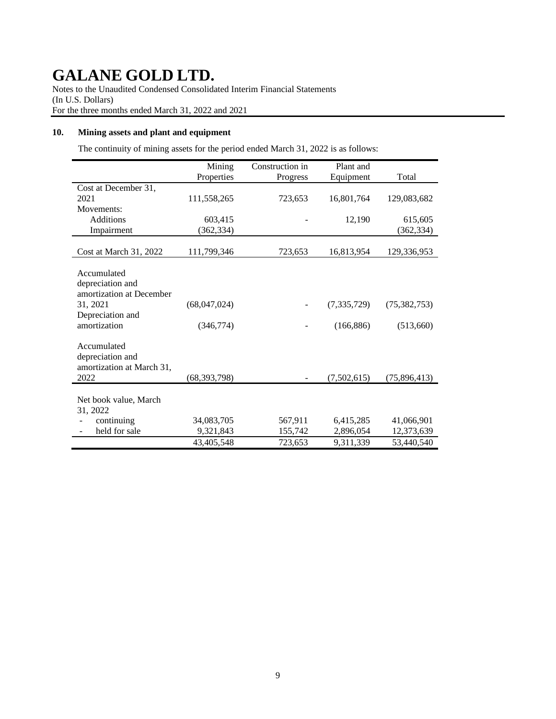Notes to the Unaudited Condensed Consolidated Interim Financial Statements (In U.S. Dollars) For the three months ended March 31, 2022 and 2021

## **10. Mining assets and plant and equipment**

The continuity of mining assets for the period ended March 31, 2022 is as follows:

|                              | Mining         | Construction in | Plant and     |                |
|------------------------------|----------------|-----------------|---------------|----------------|
|                              | Properties     | Progress        | Equipment     | Total          |
| Cost at December 31,         |                |                 |               |                |
| 2021                         | 111,558,265    | 723,653         | 16,801,764    | 129,083,682    |
| Movements:                   |                |                 |               |                |
| <b>Additions</b>             | 603,415        |                 | 12,190        | 615,605        |
| Impairment                   | (362, 334)     |                 |               | (362, 334)     |
|                              |                |                 |               |                |
| Cost at March 31, 2022       | 111,799,346    | 723,653         | 16,813,954    | 129,336,953    |
| Accumulated                  |                |                 |               |                |
| depreciation and             |                |                 |               |                |
| amortization at December     |                |                 |               |                |
| 31, 2021<br>Depreciation and | (68,047,024)   |                 | (7, 335, 729) | (75, 382, 753) |
| amortization                 | (346, 774)     |                 | (166, 886)    | (513,660)      |
|                              |                |                 |               |                |
| Accumulated                  |                |                 |               |                |
| depreciation and             |                |                 |               |                |
| amortization at March 31,    |                |                 |               |                |
| 2022                         | (68, 393, 798) |                 | (7,502,615)   | (75,896,413)   |
|                              |                |                 |               |                |
| Net book value, March        |                |                 |               |                |
| 31, 2022                     |                |                 |               |                |
| continuing                   | 34,083,705     | 567,911         | 6,415,285     | 41,066,901     |
| held for sale                | 9,321,843      | 155,742         | 2,896,054     | 12,373,639     |
|                              | 43,405,548     | 723,653         | 9,311,339     | 53,440,540     |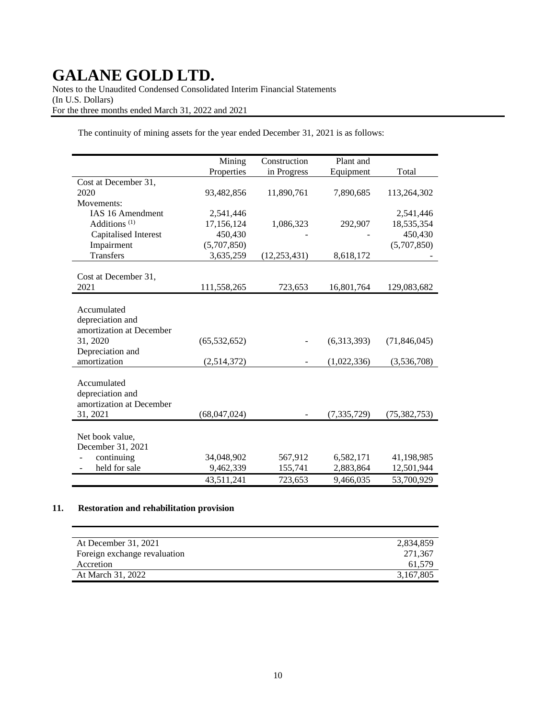Notes to the Unaudited Condensed Consolidated Interim Financial Statements (In U.S. Dollars) For the three months ended March 31, 2022 and 2021

The continuity of mining assets for the year ended December 31, 2021 is as follows:

|                          | Mining         | Construction   | Plant and   |                |
|--------------------------|----------------|----------------|-------------|----------------|
|                          | Properties     | in Progress    | Equipment   | Total          |
| Cost at December 31,     |                |                |             |                |
| 2020                     | 93,482,856     | 11,890,761     | 7,890,685   | 113,264,302    |
| Movements:               |                |                |             |                |
| IAS 16 Amendment         | 2,541,446      |                |             | 2,541,446      |
| Additions $(1)$          | 17,156,124     | 1,086,323      | 292,907     | 18,535,354     |
| Capitalised Interest     | 450,430        |                |             | 450,430        |
| Impairment               | (5,707,850)    |                |             | (5,707,850)    |
| <b>Transfers</b>         | 3,635,259      | (12, 253, 431) | 8,618,172   |                |
|                          |                |                |             |                |
| Cost at December 31,     |                |                |             |                |
| 2021                     | 111,558,265    | 723,653        | 16,801,764  | 129,083,682    |
|                          |                |                |             |                |
| Accumulated              |                |                |             |                |
| depreciation and         |                |                |             |                |
| amortization at December |                |                |             |                |
| 31, 2020                 | (65, 532, 652) |                | (6,313,393) | (71, 846, 045) |
| Depreciation and         |                |                |             |                |
| amortization             | (2,514,372)    |                | (1,022,336) | (3,536,708)    |
|                          |                |                |             |                |
| Accumulated              |                |                |             |                |
| depreciation and         |                |                |             |                |
| amortization at December |                |                |             |                |
| 31, 2021                 | (68,047,024)   |                | (7,335,729) | (75, 382, 753) |
|                          |                |                |             |                |
| Net book value,          |                |                |             |                |
| December 31, 2021        |                |                |             |                |
| continuing               | 34,048,902     | 567,912        | 6,582,171   | 41,198,985     |
| held for sale            | 9,462,339      | 155,741        | 2,883,864   | 12,501,944     |
|                          | 43,511,241     | 723,653        | 9,466,035   | 53,700,929     |

## **11. Restoration and rehabilitation provision**

| At December 31, 2021         | 2,834,859 |
|------------------------------|-----------|
| Foreign exchange revaluation | 271.367   |
| Accretion                    | 61.579    |
| At March 31, 2022            | 3,167,805 |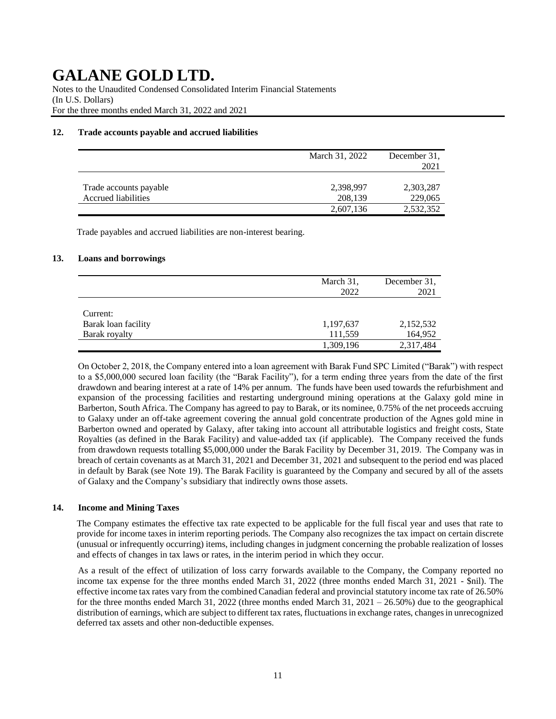Notes to the Unaudited Condensed Consolidated Interim Financial Statements (In U.S. Dollars) For the three months ended March 31, 2022 and 2021

## **12. Trade accounts payable and accrued liabilities**

|                        | March 31, 2022 | December 31.<br>2021 |
|------------------------|----------------|----------------------|
| Trade accounts payable | 2,398,997      | 2,303,287            |
| Accrued liabilities    | 208,139        | 229,065              |
|                        | 2,607,136      | 2,532,352            |

Trade payables and accrued liabilities are non-interest bearing.

#### **13. Loans and borrowings**

|                                 | March 31,<br>2022 | December 31.<br>2021 |
|---------------------------------|-------------------|----------------------|
| Current:<br>Barak loan facility | 1,197,637         | 2,152,532            |
| Barak royalty                   | 111,559           | 164,952              |
|                                 | 1,309,196         | 2,317,484            |

On October 2, 2018, the Company entered into a loan agreement with Barak Fund SPC Limited ("Barak") with respect to a \$5,000,000 secured loan facility (the "Barak Facility"), for a term ending three years from the date of the first drawdown and bearing interest at a rate of 14% per annum. The funds have been used towards the refurbishment and expansion of the processing facilities and restarting underground mining operations at the Galaxy gold mine in Barberton, South Africa. The Company has agreed to pay to Barak, or its nominee, 0.75% of the net proceeds accruing to Galaxy under an off-take agreement covering the annual gold concentrate production of the Agnes gold mine in Barberton owned and operated by Galaxy, after taking into account all attributable logistics and freight costs, State Royalties (as defined in the Barak Facility) and value-added tax (if applicable). The Company received the funds from drawdown requests totalling \$5,000,000 under the Barak Facility by December 31, 2019. The Company was in breach of certain covenants as at March 31, 2021 and December 31, 2021 and subsequent to the period end was placed in default by Barak (see Note 19). The Barak Facility is guaranteed by the Company and secured by all of the assets of Galaxy and the Company's subsidiary that indirectly owns those assets.

## **14. Income and Mining Taxes**

The Company estimates the effective tax rate expected to be applicable for the full fiscal year and uses that rate to provide for income taxes in interim reporting periods. The Company also recognizes the tax impact on certain discrete (unusual or infrequently occurring) items, including changes in judgment concerning the probable realization of losses and effects of changes in tax laws or rates, in the interim period in which they occur.

As a result of the effect of utilization of loss carry forwards available to the Company, the Company reported no income tax expense for the three months ended March 31, 2022 (three months ended March 31, 2021 - \$nil). The effective income tax rates vary from the combined Canadian federal and provincial statutory income tax rate of 26.50% for the three months ended March 31, 2022 (three months ended March 31, 2021 – 26.50%) due to the geographical distribution of earnings, which are subject to different tax rates, fluctuations in exchange rates, changes in unrecognized deferred tax assets and other non-deductible expenses.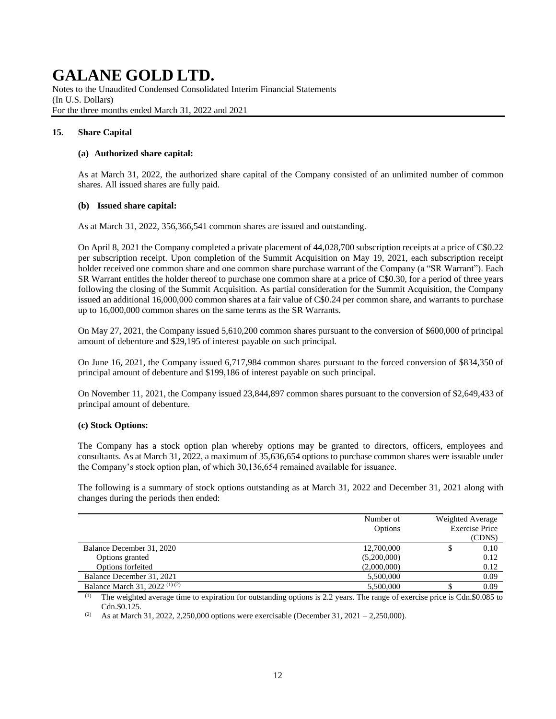Notes to the Unaudited Condensed Consolidated Interim Financial Statements (In U.S. Dollars) For the three months ended March 31, 2022 and 2021

## **15. Share Capital**

### **(a) Authorized share capital:**

As at March 31, 2022, the authorized share capital of the Company consisted of an unlimited number of common shares. All issued shares are fully paid.

#### **(b) Issued share capital:**

As at March 31, 2022, 356,366,541 common shares are issued and outstanding.

On April 8, 2021 the Company completed a private placement of 44,028,700 subscription receipts at a price of C\$0.22 per subscription receipt. Upon completion of the Summit Acquisition on May 19, 2021, each subscription receipt holder received one common share and one common share purchase warrant of the Company (a "SR Warrant"). Each SR Warrant entitles the holder thereof to purchase one common share at a price of C\$0.30, for a period of three years following the closing of the Summit Acquisition. As partial consideration for the Summit Acquisition, the Company issued an additional 16,000,000 common shares at a fair value of C\$0.24 per common share, and warrants to purchase up to 16,000,000 common shares on the same terms as the SR Warrants.

On May 27, 2021, the Company issued 5,610,200 common shares pursuant to the conversion of \$600,000 of principal amount of debenture and \$29,195 of interest payable on such principal.

On June 16, 2021, the Company issued 6,717,984 common shares pursuant to the forced conversion of \$834,350 of principal amount of debenture and \$199,186 of interest payable on such principal.

On November 11, 2021, the Company issued 23,844,897 common shares pursuant to the conversion of \$2,649,433 of principal amount of debenture.

## **(c) Stock Options:**

The Company has a stock option plan whereby options may be granted to directors, officers, employees and consultants. As at March 31, 2022, a maximum of 35,636,654 options to purchase common shares were issuable under the Company's stock option plan, of which 30,136,654 remained available for issuance.

The following is a summary of stock options outstanding as at March 31, 2022 and December 31, 2021 along with changes during the periods then ended:

|                                          | Number of   |   | Weighted Average |
|------------------------------------------|-------------|---|------------------|
|                                          | Options     |   | Exercise Price   |
|                                          |             |   | (CDN\$)          |
| Balance December 31, 2020                | 12,700,000  | Φ | 0.10             |
| Options granted                          | (5,200,000) |   | 0.12             |
| Options forfeited                        | (2,000,000) |   | 0.12             |
| Balance December 31, 2021                | 5,500,000   |   | 0.09             |
| Balance March 31, 2022 <sup>(1)(2)</sup> | 5,500,000   |   | 0.09             |

 $(1)$  The weighted average time to expiration for outstanding options is 2.2 years. The range of exercise price is Cdn.\$0.085 to Cdn.\$0.125.

<sup>(2)</sup> As at March 31, 2022, 2,250,000 options were exercisable (December 31, 2021 – 2,250,000).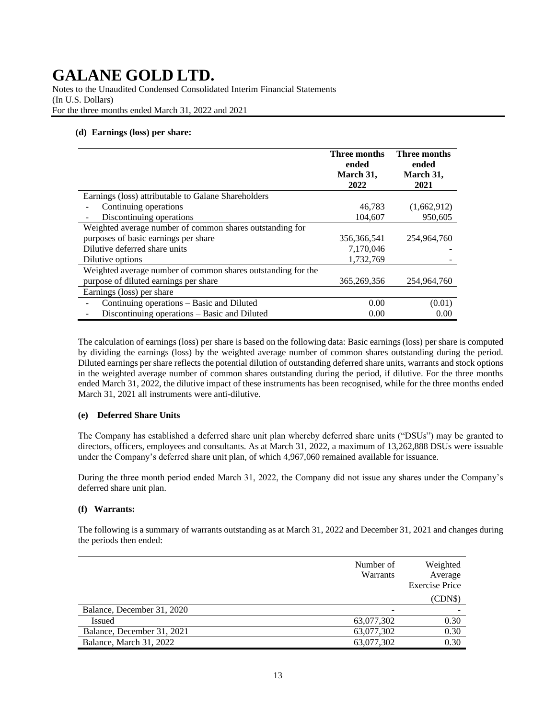Notes to the Unaudited Condensed Consolidated Interim Financial Statements (In U.S. Dollars) For the three months ended March 31, 2022 and 2021

## **(d) Earnings (loss) per share:**

|                                                              | Three months<br>ended<br>March 31,<br>2022 | Three months<br>ended<br>March 31,<br>2021 |
|--------------------------------------------------------------|--------------------------------------------|--------------------------------------------|
| Earnings (loss) attributable to Galane Shareholders          |                                            |                                            |
| Continuing operations                                        | 46,783                                     | (1,662,912)                                |
| Discontinuing operations                                     | 104,607                                    | 950.605                                    |
| Weighted average number of common shares outstanding for     |                                            |                                            |
| purposes of basic earnings per share                         | 356, 366, 541                              | 254,964,760                                |
| Dilutive deferred share units                                | 7,170,046                                  |                                            |
| Dilutive options                                             | 1,732,769                                  |                                            |
| Weighted average number of common shares outstanding for the |                                            |                                            |
| purpose of diluted earnings per share                        | 365, 269, 356                              | 254,964,760                                |
| Earnings (loss) per share                                    |                                            |                                            |
| Continuing operations - Basic and Diluted                    | 0.00                                       | (0.01)                                     |
| Discontinuing operations – Basic and Diluted                 | 0.00                                       | 0.00                                       |

The calculation of earnings (loss) per share is based on the following data: Basic earnings (loss) per share is computed by dividing the earnings (loss) by the weighted average number of common shares outstanding during the period. Diluted earnings per share reflects the potential dilution of outstanding deferred share units, warrants and stock options in the weighted average number of common shares outstanding during the period, if dilutive. For the three months ended March 31, 2022, the dilutive impact of these instruments has been recognised, while for the three months ended March 31, 2021 all instruments were anti-dilutive.

#### **(e) Deferred Share Units**

The Company has established a deferred share unit plan whereby deferred share units ("DSUs") may be granted to directors, officers, employees and consultants. As at March 31, 2022, a maximum of 13,262,888 DSUs were issuable under the Company's deferred share unit plan, of which 4,967,060 remained available for issuance.

During the three month period ended March 31, 2022, the Company did not issue any shares under the Company's deferred share unit plan.

#### **(f) Warrants:**

The following is a summary of warrants outstanding as at March 31, 2022 and December 31, 2021 and changes during the periods then ended:

|                            | Number of<br>Warrants | Weighted<br>Average<br><b>Exercise Price</b> |
|----------------------------|-----------------------|----------------------------------------------|
|                            |                       | (CDN\$)                                      |
| Balance, December 31, 2020 | $\qquad \qquad$       |                                              |
| <b>Issued</b>              | 63,077,302            | 0.30                                         |
| Balance, December 31, 2021 | 63,077,302            | 0.30                                         |
| Balance, March 31, 2022    | 63,077,302            | 0.30                                         |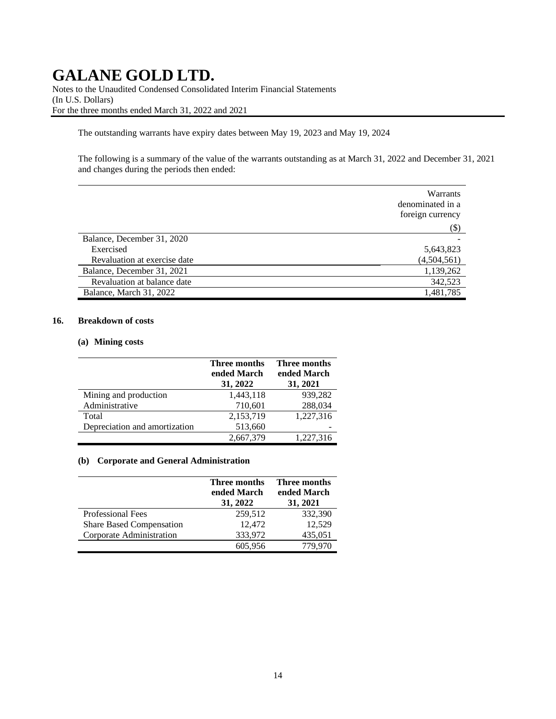Notes to the Unaudited Condensed Consolidated Interim Financial Statements (In U.S. Dollars) For the three months ended March 31, 2022 and 2021

The outstanding warrants have expiry dates between May 19, 2023 and May 19, 2024

The following is a summary of the value of the warrants outstanding as at March 31, 2022 and December 31, 2021 and changes during the periods then ended:

|                              | Warrants<br>denominated in a<br>foreign currency |
|------------------------------|--------------------------------------------------|
|                              | $(\$)$                                           |
| Balance, December 31, 2020   |                                                  |
| Exercised                    | 5,643,823                                        |
| Revaluation at exercise date | (4,504,561)                                      |
| Balance, December 31, 2021   | 1,139,262                                        |
| Revaluation at balance date  | 342,523                                          |
| Balance, March 31, 2022      | 1,481,785                                        |

### **16. Breakdown of costs**

#### **(a) Mining costs**

|                               | Three months<br>ended March<br>31, 2022 | Three months<br>ended March<br>31, 2021 |
|-------------------------------|-----------------------------------------|-----------------------------------------|
| Mining and production         | 1,443,118                               | 939,282                                 |
| Administrative                | 710,601                                 | 288,034                                 |
| Total                         | 2,153,719                               | 1,227,316                               |
| Depreciation and amortization | 513,660                                 |                                         |
|                               | 2,667,379                               | 1,227,316                               |

#### **(b) Corporate and General Administration**

|                                 | Three months<br>ended March<br>31, 2022 | Three months<br>ended March<br>31, 2021 |
|---------------------------------|-----------------------------------------|-----------------------------------------|
| <b>Professional Fees</b>        | 259,512                                 | 332,390                                 |
| <b>Share Based Compensation</b> | 12.472                                  | 12,529                                  |
| Corporate Administration        | 333,972                                 | 435,051                                 |
|                                 | 605,956                                 | 779,970                                 |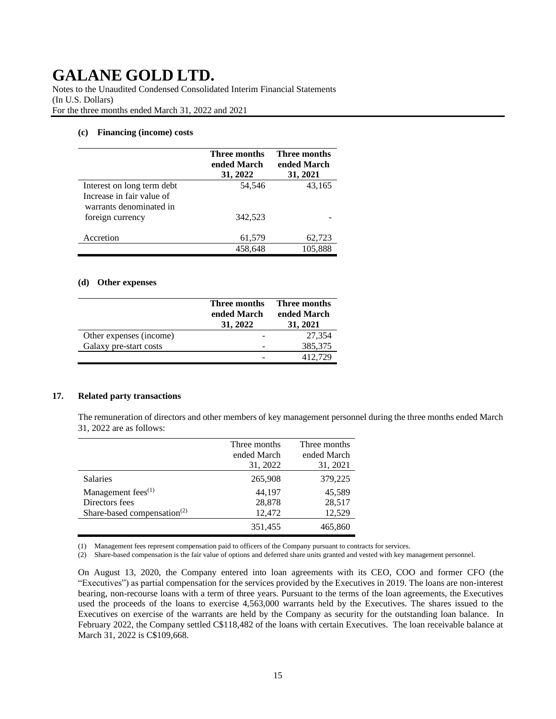Notes to the Unaudited Condensed Consolidated Interim Financial Statements (In U.S. Dollars) For the three months ended March 31, 2022 and 2021

#### **(c) Financing (income) costs**

|                                                      | Three months<br>ended March<br>31, 2022 | Three months<br>ended March<br>31, 2021 |
|------------------------------------------------------|-----------------------------------------|-----------------------------------------|
| Interest on long term debt                           | 54,546                                  | 43,165                                  |
| Increase in fair value of<br>warrants denominated in |                                         |                                         |
| foreign currency                                     | 342.523                                 |                                         |
| Accretion                                            | 61,579                                  | 62,723                                  |
|                                                      | 458,648                                 | 105,888                                 |

#### **(d) Other expenses**

|                         | Three months<br>ended March<br>31, 2022 | Three months<br>ended March<br>31, 2021 |
|-------------------------|-----------------------------------------|-----------------------------------------|
| Other expenses (income) |                                         | 27,354                                  |
| Galaxy pre-start costs  |                                         | 385,375                                 |
|                         |                                         | 412.729                                 |

## **17. Related party transactions**

The remuneration of directors and other members of key management personnel during the three months ended March 31, 2022 are as follows:

|                                         | Three months<br>ended March<br>31, 2022 | Three months<br>ended March<br>31, 2021 |
|-----------------------------------------|-----------------------------------------|-----------------------------------------|
| <b>Salaries</b>                         | 265,908                                 | 379,225                                 |
| Management fees <sup>(1)</sup>          | 44,197                                  | 45,589                                  |
| Directors fees                          | 28,878                                  | 28,517                                  |
| Share-based compensation <sup>(2)</sup> | 12,472                                  | 12,529                                  |
|                                         | 351,455                                 | 465,860                                 |

(1) Management fees represent compensation paid to officers of the Company pursuant to contracts for services.

(2) Share-based compensation is the fair value of options and deferred share units granted and vested with key management personnel.

On August 13, 2020, the Company entered into loan agreements with its CEO, COO and former CFO (the "Executives") as partial compensation for the services provided by the Executives in 2019. The loans are non-interest bearing, non-recourse loans with a term of three years. Pursuant to the terms of the loan agreements, the Executives used the proceeds of the loans to exercise 4,563,000 warrants held by the Executives. The shares issued to the Executives on exercise of the warrants are held by the Company as security for the outstanding loan balance. In February 2022, the Company settled C\$118,482 of the loans with certain Executives. The loan receivable balance at March 31, 2022 is C\$109,668.